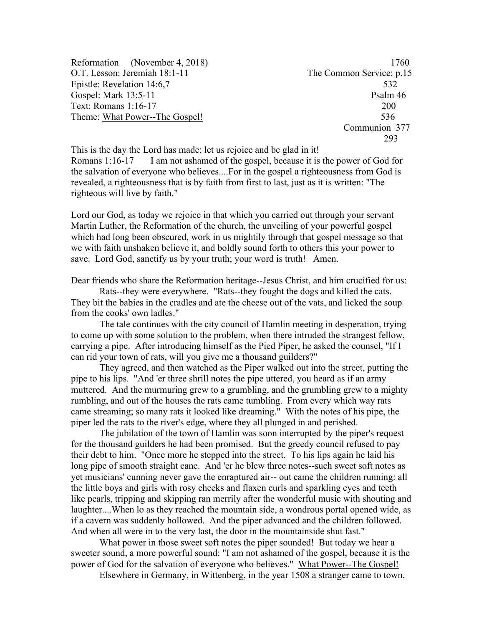Reformation (November 4, 2018) 1760 O.T. Lesson: Jeremiah 18:1-11 The Common Service: p.15 Epistle: Revelation 14:6,7 532 Gospel: Mark 13:5-11 Psalm 46 Text: Romans 1:16-17 200 Theme: What Power--The Gospel! 536

 Communion 377 293

This is the day the Lord has made; let us rejoice and be glad in it! Romans 1:16-17 I am not ashamed of the gospel, because it is the power of God for the salvation of everyone who believes....For in the gospel a righteousness from God is revealed, a righteousness that is by faith from first to last, just as it is written: "The righteous will live by faith."

Lord our God, as today we rejoice in that which you carried out through your servant Martin Luther, the Reformation of the church, the unveiling of your powerful gospel which had long been obscured, work in us mightily through that gospel message so that we with faith unshaken believe it, and boldly sound forth to others this your power to save. Lord God, sanctify us by your truth; your word is truth! Amen.

Dear friends who share the Reformation heritage--Jesus Christ, and him crucified for us:

Rats--they were everywhere. "Rats--they fought the dogs and killed the cats. They bit the babies in the cradles and ate the cheese out of the vats, and licked the soup from the cooks' own ladles."

The tale continues with the city council of Hamlin meeting in desperation, trying to come up with some solution to the problem, when there intruded the strangest fellow, carrying a pipe. After introducing himself as the Pied Piper, he asked the counsel, "If I can rid your town of rats, will you give me a thousand guilders?"

They agreed, and then watched as the Piper walked out into the street, putting the pipe to his lips. "And 'er three shrill notes the pipe uttered, you heard as if an army muttered. And the murmuring grew to a grumbling, and the grumbling grew to a mighty rumbling, and out of the houses the rats came tumbling. From every which way rats came streaming; so many rats it looked like dreaming." With the notes of his pipe, the piper led the rats to the river's edge, where they all plunged in and perished.

The jubilation of the town of Hamlin was soon interrupted by the piper's request for the thousand guilders he had been promised. But the greedy council refused to pay their debt to him. "Once more he stepped into the street. To his lips again he laid his long pipe of smooth straight cane. And 'er he blew three notes--such sweet soft notes as yet musicians' cunning never gave the enraptured air-- out came the children running: all the little boys and girls with rosy cheeks and flaxen curls and sparkling eyes and teeth like pearls, tripping and skipping ran merrily after the wonderful music with shouting and laughter....When lo as they reached the mountain side, a wondrous portal opened wide, as if a cavern was suddenly hollowed. And the piper advanced and the children followed. And when all were in to the very last, the door in the mountainside shut fast."

What power in those sweet soft notes the piper sounded! But today we hear a sweeter sound, a more powerful sound: "I am not ashamed of the gospel, because it is the power of God for the salvation of everyone who believes." What Power--The Gospel!

Elsewhere in Germany, in Wittenberg, in the year 1508 a stranger came to town.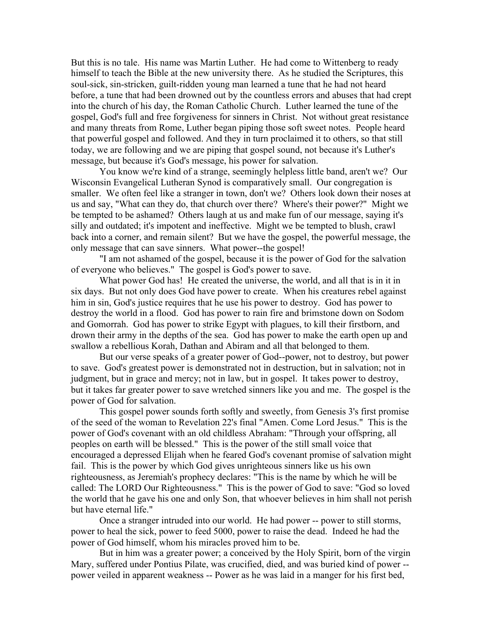But this is no tale. His name was Martin Luther. He had come to Wittenberg to ready himself to teach the Bible at the new university there. As he studied the Scriptures, this soul-sick, sin-stricken, guilt-ridden young man learned a tune that he had not heard before, a tune that had been drowned out by the countless errors and abuses that had crept into the church of his day, the Roman Catholic Church. Luther learned the tune of the gospel, God's full and free forgiveness for sinners in Christ. Not without great resistance and many threats from Rome, Luther began piping those soft sweet notes. People heard that powerful gospel and followed. And they in turn proclaimed it to others, so that still today, we are following and we are piping that gospel sound, not because it's Luther's message, but because it's God's message, his power for salvation.

You know we're kind of a strange, seemingly helpless little band, aren't we? Our Wisconsin Evangelical Lutheran Synod is comparatively small. Our congregation is smaller. We often feel like a stranger in town, don't we? Others look down their noses at us and say, "What can they do, that church over there? Where's their power?" Might we be tempted to be ashamed? Others laugh at us and make fun of our message, saying it's silly and outdated; it's impotent and ineffective. Might we be tempted to blush, crawl back into a corner, and remain silent? But we have the gospel, the powerful message, the only message that can save sinners. What power--the gospel!

"I am not ashamed of the gospel, because it is the power of God for the salvation of everyone who believes." The gospel is God's power to save.

What power God has! He created the universe, the world, and all that is in it in six days. But not only does God have power to create. When his creatures rebel against him in sin, God's justice requires that he use his power to destroy. God has power to destroy the world in a flood. God has power to rain fire and brimstone down on Sodom and Gomorrah. God has power to strike Egypt with plagues, to kill their firstborn, and drown their army in the depths of the sea. God has power to make the earth open up and swallow a rebellious Korah, Dathan and Abiram and all that belonged to them.

But our verse speaks of a greater power of God--power, not to destroy, but power to save. God's greatest power is demonstrated not in destruction, but in salvation; not in judgment, but in grace and mercy; not in law, but in gospel. It takes power to destroy, but it takes far greater power to save wretched sinners like you and me. The gospel is the power of God for salvation.

This gospel power sounds forth softly and sweetly, from Genesis 3's first promise of the seed of the woman to Revelation 22's final "Amen. Come Lord Jesus." This is the power of God's covenant with an old childless Abraham: "Through your offspring, all peoples on earth will be blessed." This is the power of the still small voice that encouraged a depressed Elijah when he feared God's covenant promise of salvation might fail. This is the power by which God gives unrighteous sinners like us his own righteousness, as Jeremiah's prophecy declares: "This is the name by which he will be called: The LORD Our Righteousness." This is the power of God to save: "God so loved the world that he gave his one and only Son, that whoever believes in him shall not perish but have eternal life."

Once a stranger intruded into our world. He had power -- power to still storms, power to heal the sick, power to feed 5000, power to raise the dead. Indeed he had the power of God himself, whom his miracles proved him to be.

But in him was a greater power; a conceived by the Holy Spirit, born of the virgin Mary, suffered under Pontius Pilate, was crucified, died, and was buried kind of power - power veiled in apparent weakness -- Power as he was laid in a manger for his first bed,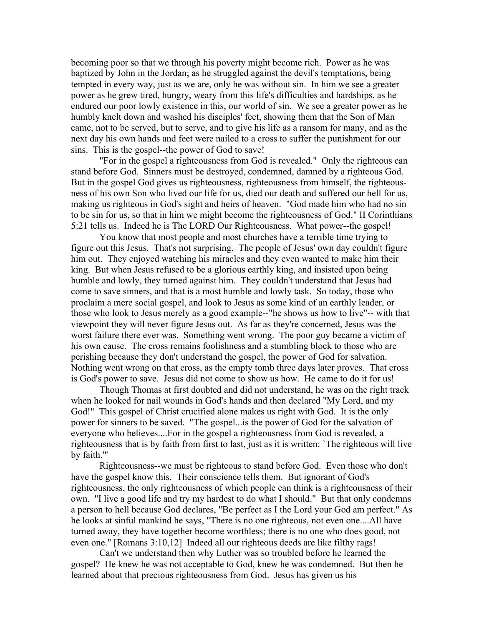becoming poor so that we through his poverty might become rich. Power as he was baptized by John in the Jordan; as he struggled against the devil's temptations, being tempted in every way, just as we are, only he was without sin. In him we see a greater power as he grew tired, hungry, weary from this life's difficulties and hardships, as he endured our poor lowly existence in this, our world of sin. We see a greater power as he humbly knelt down and washed his disciples' feet, showing them that the Son of Man came, not to be served, but to serve, and to give his life as a ransom for many, and as the next day his own hands and feet were nailed to a cross to suffer the punishment for our sins. This is the gospel--the power of God to save!

"For in the gospel a righteousness from God is revealed." Only the righteous can stand before God. Sinners must be destroyed, condemned, damned by a righteous God. But in the gospel God gives us righteousness, righteousness from himself, the righteousness of his own Son who lived our life for us, died our death and suffered our hell for us, making us righteous in God's sight and heirs of heaven. "God made him who had no sin to be sin for us, so that in him we might become the righteousness of God." II Corinthians 5:21 tells us. Indeed he is The LORD Our Righteousness. What power--the gospel!

You know that most people and most churches have a terrible time trying to figure out this Jesus. That's not surprising. The people of Jesus' own day couldn't figure him out. They enjoyed watching his miracles and they even wanted to make him their king. But when Jesus refused to be a glorious earthly king, and insisted upon being humble and lowly, they turned against him. They couldn't understand that Jesus had come to save sinners, and that is a most humble and lowly task. So today, those who proclaim a mere social gospel, and look to Jesus as some kind of an earthly leader, or those who look to Jesus merely as a good example--"he shows us how to live"-- with that viewpoint they will never figure Jesus out. As far as they're concerned, Jesus was the worst failure there ever was. Something went wrong. The poor guy became a victim of his own cause. The cross remains foolishness and a stumbling block to those who are perishing because they don't understand the gospel, the power of God for salvation. Nothing went wrong on that cross, as the empty tomb three days later proves. That cross is God's power to save. Jesus did not come to show us how. He came to do it for us!

Though Thomas at first doubted and did not understand, he was on the right track when he looked for nail wounds in God's hands and then declared "My Lord, and my God!" This gospel of Christ crucified alone makes us right with God. It is the only power for sinners to be saved. "The gospel...is the power of God for the salvation of everyone who believes....For in the gospel a righteousness from God is revealed, a righteousness that is by faith from first to last, just as it is written: `The righteous will live by faith.'"

Righteousness--we must be righteous to stand before God. Even those who don't have the gospel know this. Their conscience tells them. But ignorant of God's righteousness, the only righteousness of which people can think is a righteousness of their own. "I live a good life and try my hardest to do what I should." But that only condemns a person to hell because God declares, "Be perfect as I the Lord your God am perfect." As he looks at sinful mankind he says, "There is no one righteous, not even one....All have turned away, they have together become worthless; there is no one who does good, not even one." [Romans 3:10,12] Indeed all our righteous deeds are like filthy rags!

Can't we understand then why Luther was so troubled before he learned the gospel? He knew he was not acceptable to God, knew he was condemned. But then he learned about that precious righteousness from God. Jesus has given us his